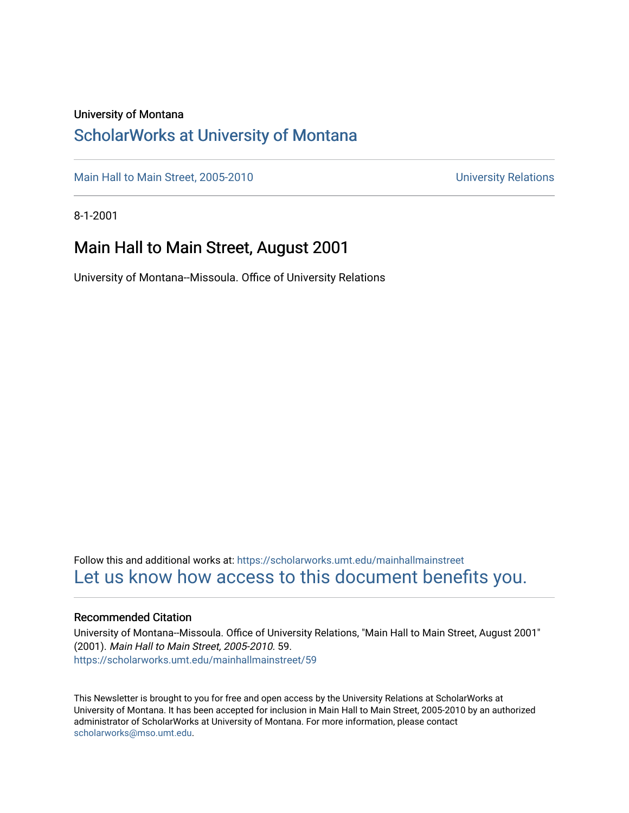### University of Montana

### [ScholarWorks at University of Montana](https://scholarworks.umt.edu/)

[Main Hall to Main Street, 2005-2010](https://scholarworks.umt.edu/mainhallmainstreet) Main Hall to Main Street, 2005-2010

8-1-2001

### Main Hall to Main Street, August 2001

University of Montana--Missoula. Office of University Relations

Follow this and additional works at: [https://scholarworks.umt.edu/mainhallmainstreet](https://scholarworks.umt.edu/mainhallmainstreet?utm_source=scholarworks.umt.edu%2Fmainhallmainstreet%2F59&utm_medium=PDF&utm_campaign=PDFCoverPages) [Let us know how access to this document benefits you.](https://goo.gl/forms/s2rGfXOLzz71qgsB2) 

#### Recommended Citation

University of Montana--Missoula. Office of University Relations, "Main Hall to Main Street, August 2001" (2001). Main Hall to Main Street, 2005-2010. 59. [https://scholarworks.umt.edu/mainhallmainstreet/59](https://scholarworks.umt.edu/mainhallmainstreet/59?utm_source=scholarworks.umt.edu%2Fmainhallmainstreet%2F59&utm_medium=PDF&utm_campaign=PDFCoverPages) 

This Newsletter is brought to you for free and open access by the University Relations at ScholarWorks at University of Montana. It has been accepted for inclusion in Main Hall to Main Street, 2005-2010 by an authorized administrator of ScholarWorks at University of Montana. For more information, please contact [scholarworks@mso.umt.edu.](mailto:scholarworks@mso.umt.edu)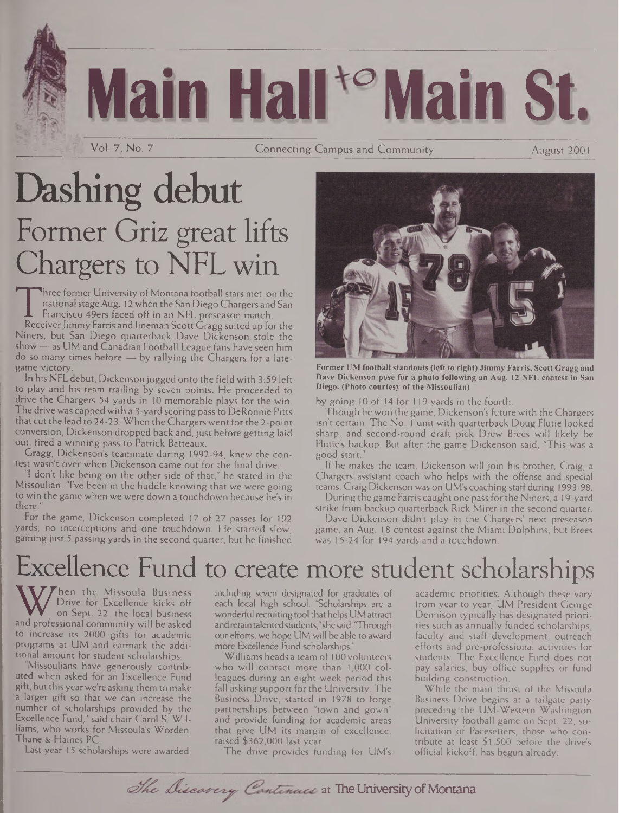# **Main Hall "Main St.**

Vol. 7, No. 7

Connecting Campus and Community **August 2001** 

## Dashing debut Former Griz great lifts Chargers to NFL win

The Former Chiversity of Montana Rootban stars met on the<br>
national stage Aug. 12 when the San Diego Chargers and San<br>
Francisco 49ers faced off in an NFL preseason match.<br>
Receiver Jimmy Farris and lineman Scott Gragg sui hree former University of Montana football stars met on the national stage Aug. 12 when the San Diego Chargers and San Francisco 49ers faced off in an NFL preseason match. Niners, but San Diego quarterback Dave Dickenson stole the show—as UM and Canadian Football League fans have seen him do so many times before — by rallying the Chargers for a late-

game victory. In his NFL debut, Dickenson jogged onto the field with 3:59 left to play and his team trailing by seven points. He proceeded to drive the Chargers 54 yards in 10 memorable plays for the win. The drive was capped with a 3-yard scoring pass to DeRonnie Pitts that cut the lead to 24-23. When the Chargers went for the 2-point conversion, Dickenson dropped back and, just before getting laid out, fired a winning pass to Patrick Batteaux.

Gragg, Dickenson's teammate during 1992-94, knew the contest wasn't over when Dickenson came out for the final drive.

"I don't like being on the other side of that," he stated in the Missoulian. "I've been in the huddle knowing that we were going to win the game when we were down a touchdown because he's in there."

For the game, Dickenson completed 17 of 27 passes for 192 yards, no interceptions and one touchdown. He started slow, gaining just 5 passing yards in the second quarter, but he finished



**Former UM football standouts (left to right) Jimmy Farris, Scott Gragg and Dave Dickenson pose for a photo following an Aug. 12 NFL contest in San Diego. (Plioto courtesy of the Missoulian)**

by going 10 of 14 for 119 yards in the fourth.

Though he won the game, Dickenson's future with the Chargers isn't certain. The No. <sup>1</sup> unit with quarterback Doug Flutie looked sharp, and second-round draft pick Drew Brees will likely be Flutie's backup. But after the game Dickenson said, "This was a good start."

If he makes the team, Dickenson will join his brother, Craig, a Chargers assistant coach who helps with the offense and special teams. Craig Dickenson was on UM's coaching staff during 1993-98.

During the game Farris caught one pass forthe Niners, a <sup>1</sup>9-yard strike from backup quarterback Rick Mirer in the second quarter.

Dave Dickenson didn't play in the Chargers' next preseason game, an Aug. 18 contest against the Miami Dolphins, but Brees was 15-24 for 194 yards and a touchdown.

## Excellence Fund to create more student scholarships

W Drive for Excellence kicks of each<br>on Sept. 22, the local business wond<br>and professional community will be asked and not<br>to increase its 2000 gifts for academic hen the Missoula Business Drive for Excellence kicks off on Sept. 22, the local business to increase its 2000 gifts for academic programs at UM and earmark the additional amount for student scholarships.

Missoulians have generously contributed when asked for an Excellence Fund gift, but thisyearwe're asking them to make a larger gift so that we can increase the number of scholarships provided by the Excellence Fund," said chair Carol S. Williams, who works for Missoula's Worden, Thane & Haines PC.

Last year 15 scholarships were awarded,

including seven designated for graduates of each local high school. 'Scholarships are a wonderful recruiting tool that helps UM attract andretaintalentedstudents,"shesaid. "Through our efforts, we hope UM will be able to award more Excellence Fund scholarships."

Williams heads a team of 100 volunteers who will contact more than 1,000 colleagues during an eight-week period this fall asking support for the University. The Business Drive, started in 1978 to forge partnerships between "town and gown" and provide funding for academic areas that give UM its margin of excellence, raised \$362,000 last year.

The drive provides funding for UM's

academic priorities. Although these vary from year to year, UM President George Dennison typically has designated priorities such as annually funded scholarships, faculty and staff development, outreach efforts and pre-professional activities for students. The Excellence Fund does not pay salaries, buy office supplies or fund building construction.

While the main thrust of the Missoula Business Drive begins at a tailgate party preceding the UM-Western Washington University football game on Sept. 22, solicitation of Pacesetters, those who contribute at least \$1,500 before the drive's official kickoff, has begun already.

The Discovery Continues at The University of Montana